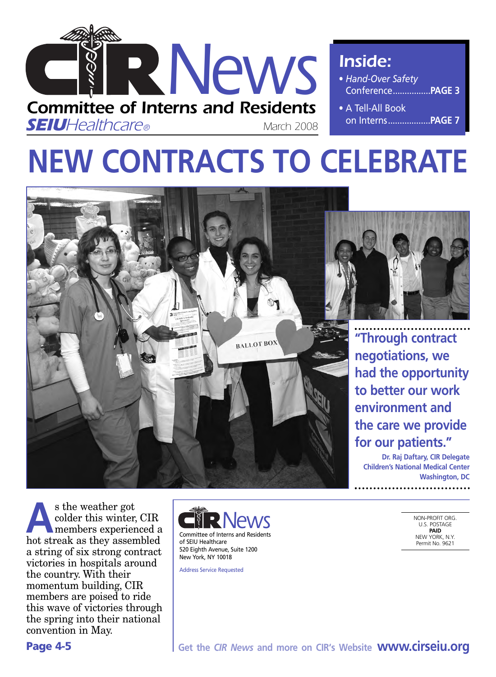

*Inside:*

- *Hand-Over Safety* Conference................**PAGE 3**
- A Tell-All Book on Interns..................**PAGE 7**

# **NEW CONTRACTS TO CELEBRATE**





**"Through contract negotiations, we had the opportunity to better our work environment and the care we provide for our patients."**

**Dr. Raj Daftary, CIR Delegate Children's National Medical Center Washington, DC**

s the weather got<br>colder this winter,<br>hot strook as they assen colder this winter, CIR members experienced a hot streak as they assembled a string of six strong contract victories in hospitals around the country. With their momentum building, CIR members are poised to ride this wave of victories through the spring into their national convention in May.



Address Service Requested

NON-PROFIT ORG. U.S. POSTAGE **PAID** NEW YORK, N.Y. Permit No. 9621

**Page 4-5**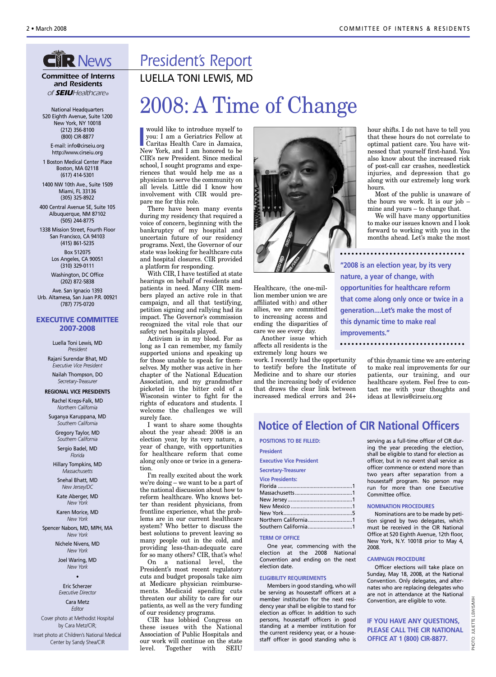### **CIR News**

*Committee of Interns and Residents of SEIUHealthcare®*

National Headquarters 520 Eighth Avenue, Suite 1200 New York, NY 10018 (212) 356-8100 (800) CIR-8877

E-mail: info@cirseiu.org http://www.cirseiu.org

1 Boston Medical Center Place Boston, MA 02118 (617) 414-5301

1400 NW 10th Ave., Suite 1509 Miami, FL 33136 (305) 325-8922

400 Central Avenue SE, Suite 105 Albuquerque, NM 87102 (505) 244-8775

1338 Mission Street, Fourth Floor San Francisco, CA 94103 (415) 861-5235 Box 512075

Los Angeles, CA 90051 (310) 329-0111 Washington, DC Office

(202) 872-5838

Ave. San Ignacio 1393 Urb. Altamesa, San Juan P.R. 00921 (787) 775-0720

#### **EXECUTIVE COMMITTEE 2007-2008**

Luella Toni Lewis, MD *President*

Rajani Surendar Bhat, MD *Executive Vice President* Nailah Thompson, DO *Secretary-Treasurer*

**REGIONAL VICE PRESIDENTS**

Rachel Kreps-Falk, MD *Northern California*

Suganya Karuppana, MD *Southern California*

> Gregory Taylor, MD *Southern California* Sergio Badel, MD *Florida*

Hillary Tompkins, MD *Massachusetts*

Snehal Bhatt, MD *New Jersey/DC*

Kate Aberger, MD *New York*

Karen Morice, MD *New York*

Spencer Nabors, MD, MPH, MA *New York*

> Nichele Nivens, MD *New York*

Joel Waring, MD *New York* •

Eric Scherzer *Executive Director* Cara Metz

*Editor*

Cover photo at Methodist Hospital by Cara Metz/CIR; Inset photo at Children's National Medical Center by Sandy Shea/CIR

## *President's Report*

LUELLA TONI LEWIS, MD

## 2008: A Time of Change

would like to introduce myself to<br>
you: I am a Geriatrics Fellow at<br>
Caritas Health Care in Jamaica,<br>
New York, and I am honored to be would like to introduce myself to you: I am a Geriatrics Fellow at Caritas Health Care in Jamaica, CIR's new President. Since medical school, I sought programs and experiences that would help me as a physician to serve the community on all levels. Little did I know how involvement with CIR would prepare me for this role.

There have been many events during my residency that required a voice of concern, beginning with the bankruptcy of my hospital and uncertain future of our residency programs. Next, the Governor of our state was looking for healthcare cuts and hospital closures. CIR provided a platform for responding.

With CIR, I have testified at state hearings on behalf of residents and patients in need. Many CIR members played an active role in that campaign, and all that testifying, petition signing and rallying had its impact. The Governor's commission recognized the vital role that our safety net hospitals played.

Activism is in my blood. For as long as I can remember, my family supported unions and speaking up for those unable to speak for themselves. My mother was active in her chapter of the National Education Association, and my grandmother picketed in the bitter cold of a Wisconsin winter to fight for the rights of educators and students. I welcome the challenges we will surely face.

I want to share some thoughts about the year ahead: 2008 is an election year, by its very nature, a year of change, with opportunities for healthcare reform that come along only once or twice in a generation.

I'm really excited about the work we're doing – we want to be a part of the national discussion about how to reform healthcare. Who knows better than resident physicians, from frontline experience, what the problems are in our current healthcare system? Who better to discuss the best solutions to prevent leaving so many people out in the cold, and providing less-than-adequate care for so many others? CIR, that's who!

On a national level, the President's most recent regulatory cuts and budget proposals take aim at Medicare physician reimbursements. Medicaid spending cuts threaten our ability to care for our patients, as well as the very funding of our residency programs.

CIR has lobbied Congress on these issues with the National Association of Public Hospitals and our work will continue on the state level. Together with SEIU



Healthcare, (the one-million member union we are affiliated with) and other allies, we are committed to increasing access and ending the disparities of care we see every day.

Another issue which affects all residents is the extremely long hours we

work. I recently had the opportunity to testify before the Institute of Medicine and to share our stories and the increasing body of evidence that draws the clear link between increased medical errors and 24+ hour shifts. I do not have to tell you that these hours do not correlate to optimal patient care. You have witnessed that yourself first-hand. You also know about the increased risk of post-call car crashes, needlestick injuries, and depression that go along with our extremely long work hours.

Most of the public is unaware of the hours we work. It is our job – mine and yours – to change that.

We will have many opportunities to make our issues known and I look forward to working with you in the months ahead. Let's make the most

**"2008 is an election year, by its very nature, a year of change, with opportunities for healthcare reform that come along only once or twice in a generation....Let's make the most of this dynamic time to make real improvements."**

of this dynamic time we are entering to make real improvements for our patients, our training, and our healthcare system. Feel free to contact me with your thoughts and ideas at llewis@cirseiu.org

### **Notice of Election of CIR National Officers**

**POSITIONS TO BE FILLED: President Executive Vice President Secretary-Treasurer Vice Presidents:** Florida ....................................................1 Massachusetts........................................1 New Jersey .............................................1 New Mexico ...........................................1 New York................................................5 Northern California...............................1 Southern California...............................1

#### **TERM OF OFFICE**

One year, commencing with the election at the 2008 National Convention and ending on the next election date.

#### **ELIGIBILITY REQUIREMENTS**

Members in good standing, who will be serving as housestaff officers at a member institution for the next residency year shall be eligible to stand for election as officer. In addition to such persons, housestaff officers in good standing at a member institution for the current residency year, or a housestaff officer in good standing who is serving as a full-time officer of CIR during the year preceding the election, shall be eligible to stand for election as officer, but in no event shall service as officer commence or extend more than two years after separation from a housestaff program. No person may run for more than one Executive Committee office.

#### **NOMINATION PROCEDURES**

Nominations are to be made by petition signed by two delegates, which must be received in the CIR National Office at 520 Eighth Avenue, 12th floor, New York, N.Y. 10018 prior to May 4, 2008.

#### **CAMPAIGN PROCEDURE**

Officer elections will take place on Sunday, May 18, 2008, at the National Convention. Only delegates, and alternates who are replacing delegates who are not in attendance at the National Convention, are eligible to vote.

**IF YOU HAVE ANY QUESTIONS, PLEASE CALL THE CIR NATIONAL OFFICE AT 1 (800) CIR-8877.**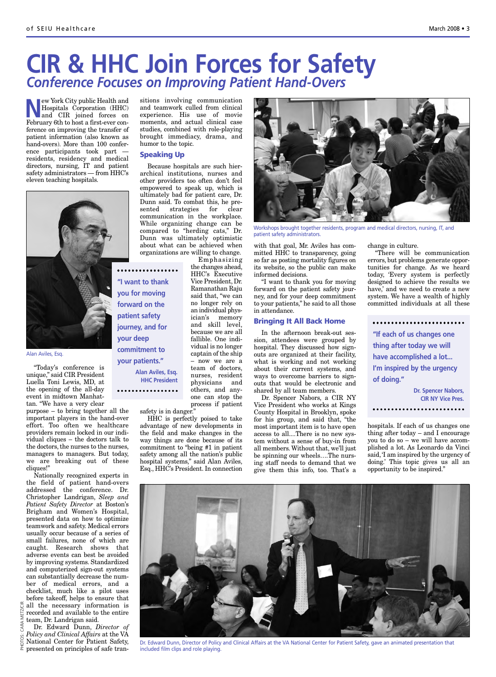## **CIR & HHC Join Forces for Safety** *Conference Focuses on Improving Patient Hand-Overs*

**New York City public Health and<br>Hospitals Corporation (HHC)<br>and CIR joined forces on<br>February 6th to bott a first even con** Hospitals Corporation (HHC) and CIR joined forces on February 6th to host a first-ever conference on improving the transfer of patient information (also known as hand-overs). More than 100 conference participants took part residents, residency and medical directors, nursing, IT and patient safety administrators — from HHC's eleven teaching hospitals.



Alan Aviles, Esq.

"Today's conference is unique," said CIR President Luella Toni Lewis, MD, at the opening of the all-day event in midtown Manhattan. "We have a very clear

purpose – to bring together all the important players in the hand-over effort. Too often we healthcare providers remain locked in our individual cliques – the doctors talk to the doctors, the nurses to the nurses, managers to managers. But today, we are breaking out of these cliques!"

Nationally recognized experts in the field of patient hand-overs addressed the conference. Dr. Christopher Landrigan, *Sleep and Patient Safety Director* at Boston's Brigham and Women's Hospital, presented data on how to optimize teamwork and safety. Medical errors usually occur because of a series of small failures, none of which are caught. Research shows that adverse events can best be avoided by improving systems. Standardized and computerized sign-out systems can substantially decrease the number of medical errors, and a checklist, much like a pilot uses before takeoff, helps to ensure that

all the necessary information is recorded and available to the entire team, Dr. Landrigan said.

Dr. Edward Dunn, *Director of Policy and Clinical Affairs* at the VA National Center for Patient Safety, ௨

sitions involving communication and teamwork culled from clinical experience. His use of movie moments, and actual clinical case studies, combined with role-playing brought immediacy, drama, and humor to the topic.

#### **Speaking Up**

Because hospitals are such hierarchical institutions, nurses and other providers too often don't feel empowered to speak up, which is ultimately bad for patient care, Dr. Dunn said. To combat this, he presented strategies for clear communication in the workplace. While organizing change can be compared to "herding cats," Dr. Dunn was ultimately optimistic about what can be achieved when organizations are willing to change.

> Emphasizing the changes ahead, HHC's Executive Vice President, Dr. Ramanathan Raju said that, "we can no longer rely on an individual physician's memory and skill level, because we are all fallible. One individual is no longer captain of the ship – now we are a team of doctors, nurses, resident physicians and others, and anyone can stop the process if patient

**"I want to thank you for moving forward on the patient safety journey, and for your deep commitment to your patients." Alan Aviles, Esq. HHC President**

safety is in danger."

HHC is perfectly poised to take advantage of new developments in the field and make changes in the way things are done because of its commitment to "being #1 in patient safety among all the nation's public hospital systems," said Alan Aviles, Esq., HHC's President. In connection



Workshops brought together residents, program and medical directors, nursing, IT, and patient safety administrators.

with that goal, Mr. Aviles has committed HHC to transparency, going so far as posting mortality figures on its website, so the public can make informed decisions.

"I want to thank you for moving forward on the patient safety journey, and for your deep commitment to your patients," he said to all those in attendance.

#### **Bringing It All Back Home**

In the afternoon break-out session, attendees were grouped by hospital. They discussed how signouts are organized at their facility, what is working and not working about their current systems, and ways to overcome barriers to signouts that would be electronic and shared by all team members.

Dr. Spencer Nabors, a CIR NY Vice President who works at Kings County Hospital in Brooklyn, spoke for his group, and said that, "the most important item is to have open access to all....There is no new system without a sense of buy-in from all members. Without that, we'll just be spinning our wheels….The nursing staff needs to demand that we give them this info, too. That's a change in culture.

"There will be communication errors, but problems generate opportunities for change. As we heard today, 'Every system is perfectly designed to achieve the results we have,' and we need to create a new system. We have a wealth of highly committed individuals at all these

**"If each of us changes one thing after today we will have accomplished a lot... I'm inspired by the urgency of doing." Dr. Spencer Nabors, CIR NY Vice Pres.**

hospitals. If each of us changes one thing after today – and I encourage you to do so – we will have accomplished a lot. As Leonardo da Vinci said, 'I am inspired by the urgency of doing.' This topic gives us all an opportunity to be inspired."



Dr. Edward Dunn, Director of Policy and Clinical Affairs at the VA National Center for Patient Safety, gave an animated presentation that included film clips and role playing.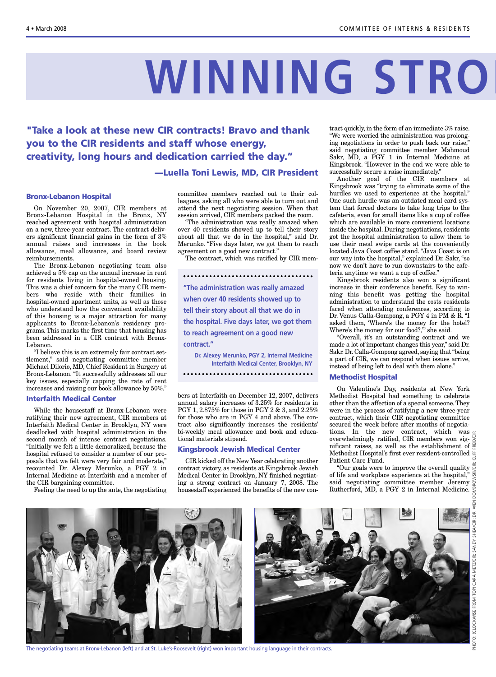# **WINNING STRO**

**"Take a look at these new CIR contracts! Bravo and thank you to the CIR residents and staff whose energy, creativity, long hours and dedication carried the day."**

#### **—Luella Toni Lewis, MD, CIR President**

#### **Bronx-Lebanon Hospital**

On November 20, 2007, CIR members at Bronx-Lebanon Hospital in the Bronx, NY reached agreement with hospital administration on a new, three-year contract. The contract delivers significant financial gains in the form of 3% annual raises and increases in the book allowance, meal allowance, and board review reimbursements.

The Bronx-Lebanon negotiating team also achieved a 5% cap on the annual increase in rent for residents living in hospital-owned housing. This was a chief concern for the many CIR members who reside with their families in hospital-owned apartment units, as well as those who understand how the convenient availability of this housing is a major attraction for many applicants to Bronx-Lebanon's residency programs. This marks the first time that housing has been addressed in a CIR contract with Bronx-Lebanon.

"I believe this is an extremely fair contract settlement," said negotiating committee member Michael Dilorio, MD, Chief Resident in Surgery at Bronx-Lebanon. "It successfully addresses all our key issues, especially capping the rate of rent increases and raising our book allowance by 50%."

#### **Interfaith Medical Center**

While the housestaff at Bronx-Lebanon were ratifying their new agreement, CIR members at Interfaith Medical Center in Brooklyn, NY were deadlocked with hospital administration in the second month of intense contract negotiations. "Initially we felt a little demoralized, because the hospital refused to consider a number of our proposals that we felt were very fair and moderate," recounted Dr. Alexey Merunko, a PGY 2 in Internal Medicine at Interfaith and a member of the CIR bargaining committee.

Feeling the need to up the ante, the negotiating

committee members reached out to their colleagues, asking all who were able to turn out and attend the next negotiating session. When that session arrived, CIR members packed the room.

"The administration was really amazed when over 40 residents showed up to tell their story about all that we do in the hospital," said Dr. Merunko. "Five days later, we got them to reach agreement on a good new contract."

The contract, which was ratified by CIR mem-

**"The administration was really amazed when over 40 residents showed up to tell their story about all that we do in the hospital. Five days later, we got them to reach agreement on a good new contract."**

**Dr. Alexey Merunko, PGY 2, Internal Medicine Interfaith Medical Center, Brooklyn, NY**

bers at Interfaith on December 12, 2007, delivers annual salary increases of 3.25% for residents in PGY 1, 2.875% for those in PGY 2 & 3, and 2.25% for those who are in PGY 4 and above. The contract also significantly increases the residents' bi-weekly meal allowance and book and educational materials stipend.

#### **Kingsbrook Jewish Medical Center**

CIR kicked off the New Year celebrating another contract victory, as residents at Kingsbrook Jewish Medical Center in Brooklyn, NY finished negotiating a strong contract on January 7, 2008. The housestaff experienced the benefits of the new contract quickly, in the form of an immediate 3% raise. "We were worried the administration was prolonging negotiations in order to push back our raise," said negotiating committee member Mahmoud Sakr, MD, a PGY 1 in Internal Medicine at Kingsbrook. "However in the end we were able to successfully secure a raise immediately."

Another goal of the CIR members at Kingsbrook was "trying to eliminate some of the hurdles we used to experience at the hospital." One such hurdle was an outdated meal card system that forced doctors to take long trips to the cafeteria, even for small items like a cup of coffee which are available in more convenient locations inside the hospital. During negotiations, residents got the hospital administration to allow them to use their meal swipe cards at the conveniently located Java Coast coffee stand. "Java Coast is on our way into the hospital," explained Dr. Sakr, "so now we don't have to run downstairs to the cafeteria anytime we want a cup of coffee."

Kingsbrook residents also won a significant increase in their conference benefit. Key to winning this benefit was getting the hospital administration to understand the costs residents faced when attending conferences, according to Dr. Venus Calla-Gompong, a PGY 4 in PM & R. "I asked them, 'Where's the money for the hotel? Where's the money for our food?," she said.

"Overall, it's an outstanding contract and we made a lot of important changes this year," said Dr. Sakr. Dr. Calla-Gompong agreed, saying that "being a part of CIR, we can respond when issues arrive, instead of being left to deal with them alone."

#### **Methodist Hospital**

On Valentine's Day, residents at New York Methodist Hospital had something to celebrate other than the affection of a special someone. They were in the process of ratifying a new three-year contract, which their CIR negotiating committee secured the week before after months of negotiations. In the new contract, which was  $\leq$ overwhelmingly ratified, CIR members won significant raises, as well as the establishment of Methodist Hospital's first ever resident-controlled Patient Care Fund.

"Our goals were to improve the overall quality of life and workplace experience at the hospital," said negotiating committee member Jeremy Rutherford, MD, a PGY 2 in Internal Medicine.

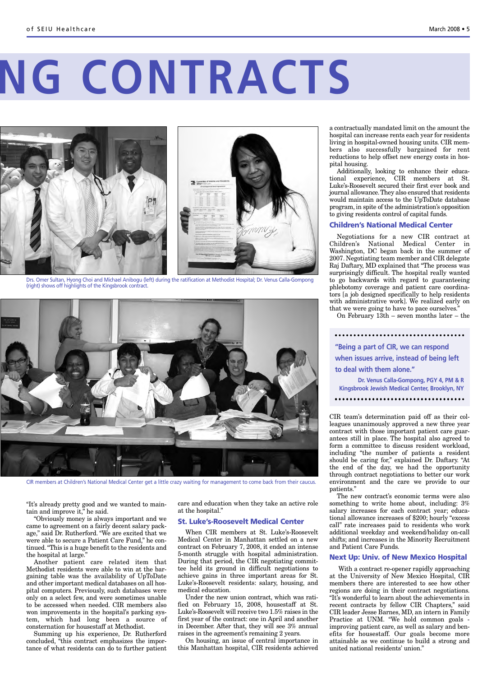# **NG CONTRACTS**



Drs. Omer Sultan, Hyong Choi and Michael Anibogu (left) during the ratification at Methodist Hospital; Dr. Venus Calla-Gompong (right) shows off highlights of the Kingsbrook contract.



CIR members at Children's National Medical Center get a little crazy waiting for management to come back from their caucus.

"It's already pretty good and we wanted to maintain and improve it," he said.

"Obviously money is always important and we came to agreement on a fairly decent salary package," said Dr. Rutherford. "We are excited that we were able to secure a Patient Care Fund," he continued. "This is a huge benefit to the residents and the hospital at large."

Another patient care related item that Methodist residents were able to win at the bargaining table was the availability of UpToDate and other important medical databases on all hospital computers. Previously, such databases were only on a select few, and were sometimes unable to be accessed when needed. CIR members also won improvements in the hospital's parking system, which had long been a source of consternation for housestaff at Methodist.

Summing up his experience, Dr. Rutherford concluded, "this contract emphasizes the importance of what residents can do to further patient care and education when they take an active role at the hospital."

#### **St. Luke's-Roosevelt Medical Center**

When CIR members at St. Luke's-Roosevelt Medical Center in Manhattan settled on a new contract on February 7, 2008, it ended an intense 5-month struggle with hospital administration. During that period, the CIR negotiating committee held its ground in difficult negotiations to achieve gains in three important areas for St. Luke's-Roosevelt residents: salary, housing, and medical education.

Under the new union contract, which was ratified on February 15, 2008, housestaff at St. Luke's-Roosevelt will receive two 1.5% raises in the first year of the contract: one in April and another in December. After that, they will see 3% annual raises in the agreement's remaining 2 years.

On housing, an issue of central importance in this Manhattan hospital, CIR residents achieved a contractually mandated limit on the amount the hospital can increase rents each year for residents living in hospital-owned housing units. CIR members also successfully bargained for rent reductions to help offset new energy costs in hospital housing.

Additionally, looking to enhance their educational experience, CIR members at St. Luke's-Roosevelt secured their first ever book and journal allowance.They also ensured that residents would maintain access to the UpToDate database program, in spite of the administration's opposition to giving residents control of capital funds.

#### **Children's National Medical Center**

Negotiations for a new CIR contract at Children's National Medical Center in Washington, DC began back in the summer of 2007. Negotiating team member and CIR delegate Raj Daftary, MD explained that "The process was surprisingly difficult. The hospital really wanted to go backwards with regard to guaranteeing phlebotomy coverage and patient care coordinators [a job designed specifically to help residents with administrative work]. We realized early on that we were going to have to pace ourselves."

On February 13th – seven months later – the

**"Being a part of CIR, we can respond when issues arrive, instead of being left to deal with them alone." Dr. Venus Calla-Gompong, PGY 4, PM & R Kingsbrook Jewish Medical Center, Brooklyn, NY**

CIR team's determination paid off as their colleagues unanimously approved a new three year contract with those important patient care guarantees still in place. The hospital also agreed to form a committee to discuss resident workload, including "the number of patients a resident should be caring for," explained Dr. Daftary. "At the end of the day, we had the opportunity through contract negotiations to better our work environment and the care we provide to our patients."

The new contract's economic terms were also something to write home about, including: 3% salary increases for each contract year; educational allowance increases of \$200; hourly "excess call" rate increases paid to residents who work additional weekday and weekend/holiday on-call shifts; and increases in the Minority Recruitment and Patient Care Funds.

#### **Next Up: Univ. of New Mexico Hospital**

With a contract re-opener rapidly approaching at the University of New Mexico Hospital, CIR members there are interested to see how other regions are doing in their contract negotiations. "It's wonderful to learn about the achievements in recent contracts by fellow CIR Chapters," said CIR leader Jesse Barnes, MD, an intern in Family Practice at UNM. "We hold common goals improving patient care, as well as salary and benefits for housestaff. Our goals become more attainable as we continue to build a strong and united national residents' union."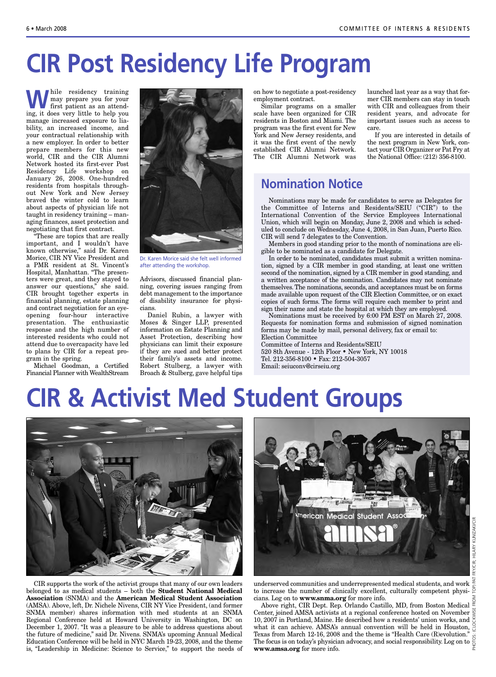# **CIR Post Residency Life Program**

**While residency training**<br>first patient as an attend-<br>ing it does your little to belp your may prepare you for your ing, it does very little to help you manage increased exposure to liability, an increased income, and your contractual relationship with a new employer. In order to better prepare members for this new world, CIR and the CIR Alumni Network hosted its first-ever Post Residency Life workshop on January 26, 2008. One-hundred residents from hospitals throughout New York and New Jersey braved the winter cold to learn about aspects of physician life not taught in residency training – managing finances, asset protection and negotiating that first contract.

"These are topics that are really important, and I wouldn't have known otherwise," said Dr. Karen Morice, CIR NY Vice President and a PMR resident at St. Vincent's Hospital, Manhattan. "The presenters were great, and they stayed to answer our questions," she said. CIR brought together experts in financial planning, estate planning and contract negotiation for an eyeopening four-hour interactive presentation. The enthusiastic response and the high number of interested residents who could not attend due to overcapacity have led to plans by CIR for a repeat program in the spring.

Michael Goodman, a Certified Financial Planner with WealthStream



Dr. Karen Morice said she felt well informed after attending the workshop.

Advisors, discussed financial planning, covering issues ranging from debt management to the importance of disability insurance for physicians.

Daniel Rubin, a lawyer with Moses & Singer LLP, presented information on Estate Planning and Asset Protection, describing how physicians can limit their exposure if they are sued and better protect their family's assets and income. Robert Stulberg, a lawyer with Broach & Stulberg, gave helpful tips on how to negotiate a post-residency employment contract.

Similar programs on a smaller scale have been organized for CIR residents in Boston and Miami. The program was the first event for New York and New Jersey residents, and it was the first event of the newly established CIR Alumni Network. The CIR Alumni Network was launched last year as a way that former CIR members can stay in touch with CIR and colleagues from their resident years, and advocate for important issues such as access to care.

If you are interested in details of the next program in New York, contact your CIR Organizer or Pat Fry at the National Office: (212) 356-8100.

### **Nomination Notice**

Nominations may be made for candidates to serve as Delegates for the Committee of Interns and Residents/SEIU ("CIR") to the International Convention of the Service Employees International Union, which will begin on Monday, June 2, 2008 and which is scheduled to conclude on Wednesday, June 4, 2008, in San Juan, Puerto Rico. CIR will send 7 delegates to the Convention.

Members in good standing prior to the month of nominations are eligible to be nominated as a candidate for Delegate.

In order to be nominated, candidates must submit a written nomination, signed by a CIR member in good standing, at least one written second of the nomination, signed by a CIR member in good standing, and a written acceptance of the nomination. Candidates may not nominate themselves. The nominations, seconds, and acceptances must be on forms made available upon request of the CIR Election Committee, or on exact copies of such forms. The forms will require each member to print and sign their name and state the hospital at which they are employed.

Nominations must be received by 6:00 PM EST on March 27, 2008. Requests for nomination forms and submission of signed nomination forms may be made by mail, personal delivery, fax or email to: Election Committee

Committee of Interns and Residents/SEIU 520 8th Avenue - 12th Floor • New York, NY 10018 Tel. 212-356-8100 • Fax: 212-504-3057 Email: seiuconv@cirseiu.org

## **CIR & Activist Med Student Groups**



CIR supports the work of the activist groups that many of our own leaders belonged to as medical students – both the **Student National Medical Association** (SNMA) and the **American Medical Student Association** (AMSA). Above, left, Dr. Nichele Nivens, CIR NY Vice President, (and former SNMA member) shares information with med students at an SNMA Regional Conference held at Howard University in Washington, DC on December 1, 2007. "It was a pleasure to be able to address questions about the future of medicine," said Dr. Nivens. SNMA's upcoming Annual Medical Education Conference will be held in NYC March 19-23, 2008, and the theme is, "Leadership in Medicine: Science to Service," to support the needs of



underserved communities and underrepresented medical students, and work to increase the number of clinically excellent, culturally competent physicians. Log on to **www.snma.org** for more info.

Above right, CIR Dept. Rep. Orlando Castillo, MD, from Boston Medical  $\stackrel{\cong}{\scriptscriptstyle \in}$ Center, joined AMSA activists at a regional conference hosted on November 10, 2007 in Portland, Maine. He described how a residents' union works, and what it can achieve. AMSA's annual convention will be held in Houston, Texas from March 12-16, 2008 and the theme is "Health Care (R)evolution." Texas from March 12-16, 2008 and the theme is "Health Care (R) evolution."  $\frac{1}{\odot}$ <br>The focus is on today's physician advocacy, and social responsibility. Log on to  $\frac{1}{\odot}$ **www.amsa.org** for more info.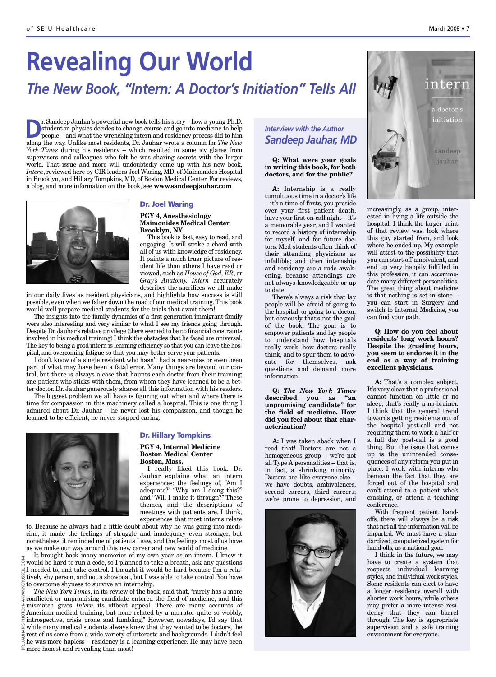# **Revealing Our World** *The New Book, "Intern: A Doctor's Initiation" Tells All*

**D**r. Sandeep Jauhar's powerful new book tells his story – how a young Ph.D.<br>student in physics decides to change course and go into medicine to help<br>people – and what the wrenching intern and residency process did to him<br> student in physics decides to change course and go into medicine to help along the way. Unlike most residents, Dr. Jauhar wrote a column for *The New York Times* during his residency – which resulted in some icy glares from supervisors and colleagues who felt he was sharing secrets with the larger world. That issue and more will undoubtedly come up with his new book, *Intern*, reviewed here by CIR leaders Joel Waring, MD, of Maimonides Hospital in Brooklyn, and Hillary Tompkins, MD, of Boston Medical Center. For reviews, a blog, and more information on the book, see **www.sandeepjauhar.com**



#### **Dr. Joel Waring**

#### **PGY 4, Anesthesiology Maimonides Medical Center Brooklyn, NY**

This book is fast, easy to read, and engaging. It will strike a chord with all of us with knowledge of residency. It paints a much truer picture of resident life than others I have read or viewed, such as *House of God, ER*, or *Gray's Anatomy. Intern* accurately describes the sacrifices we all make

in our daily lives as resident physicians, and highlights how success is still possible, even when we falter down the road of our medical training. This book would well prepare medical students for the trials that await them!

The insights into the family dynamics of a first-generation immigrant family were also interesting and very similar to what I see my friends going through. Despite Dr. Jauhar's relative privilege (there seemed to be no financial constraints involved in his medical training) I think the obstacles that he faced are universal. The key to being a good intern is learning efficiency so that you can leave the hospital, and overcoming fatigue so that you may better serve your patients.

I don't know of a single resident who hasn't had a near-miss or even been part of what may have been a fatal error. Many things are beyond our control, but there is always a case that haunts each doctor from their training; one patient who sticks with them, from whom they have learned to be a better doctor. Dr. Jauhar generously shares all this information with his readers.

The biggest problem we all have is figuring out when and where there is time for compassion in this machinery called a hospital. This is one thing I admired about Dr. Jauhar – he never lost his compassion, and though he learned to be efficient, he never stopped caring.



#### **Dr. Hillary Tompkins**

**PGY 4, Internal Medicine Boston Medical Center Boston, Mass.**

I really liked this book. Dr. Jauhar explains what an intern experiences: the feelings of, "Am I adequate?" "Why am I doing this?" and "Will I make it through?" These themes, and the descriptions of meetings with patients are, I think, experiences that most interns relate

to. Because he always had a little doubt about why he was going into medicine, it made the feelings of struggle and inadequacy even stronger, but nonetheless, it reminded me of patients I saw, and the feelings most of us have as we make our way around this new career and new world of medicine.

It brought back many memories of my own year as an intern. I knew it ould be hard to run a code, so I planned to take a breath, ask any questions I needed to, and take control. I thought it would be hard because I'm a relatively shy person, and not a showboat, but I was able to take control. You have  $\frac{a}{2}$  to overcome shyness to survive an internship.

DR. JAUHAR'S PHOTO: MARYANNERUSSELL.COM *The New York Times*, in its review of the book, said that, "rarely has a more conflicted or unpromising candidate entered the field of medicine, and this mismatch gives *Intern* its offbeat appeal. There are many accounts of PHOTO American medical training, but none related by a narrator quite so wobbly, introspective, crisis prone and fumbling." However, nowadays, I'd say that while many medical students always knew that they wanted to be doctors, the rest of us come from a wide variety of interests and backgrounds. I didn't feel he was more hapless – residency is a learning experience. He may have been  $\approx$  more honest and revealing than most!

#### *Interview with the Author Sandeep Jauhar, MD*

#### **Q: What were your goals in writing this book, for both doctors, and for the public?**

**A:** Internship is a really tumultuous time in a doctor's life – it's a time of firsts, you preside over your first patient death, have your first on-call night – it's a memorable year, and I wanted to record a history of internship for myself, and for future doctors. Med students often think of their attending physicians as infallible; and then internship and residency are a rude awakening, because attendings are not always knowledgeable or up to date.

There's always a risk that lay people will be afraid of going to the hospital, or going to a doctor, but obviously that's not the goal of the book. The goal is to empower patients and lay people to understand how hospitals really work, how doctors really think, and to spur them to advocate for themselves, ask questions and demand more information.

**Q:** *The New York Times* **described you as "an unpromising candidate" for the field of medicine. How did you feel about that characterization?**

**A:** I was taken aback when I read that! Doctors are not a homogeneous group – we're not all Type A personalities – that is, in fact, a shrinking minority. Doctors are like everyone else – we have doubts, ambivalences, second careers, third careers; we're prone to depression, and





increasingly, as a group, interested in living a life outside the hospital. I think the larger point of that review was, look where this guy started from, and look where he ended up. My example will attest to the possibility that you can start off ambivalent, and end up very happily fulfilled in this profession, it can accommodate many different personalities. The great thing about medicine is that nothing is set in stone – you can start in Surgery and switch to Internal Medicine, you can find your path.

**Q: How do you feel about residents' long work hours? Despite the grueling hours, you seem to endorse it in the end as a way of training excellent physicians.**

**A:** That's a complex subject. It's very clear that a professional cannot function on little or no sleep, that's really a no-brainer. I think that the general trend towards getting residents out of the hospital post-call and not requiring them to work a half or a full day post-call is a good thing. But the issue that comes up is the unintended consequences of any reform you put in place. I work with interns who bemoan the fact that they are forced out of the hospital and can't attend to a patient who's crashing, or attend a teaching conference.

With frequent patient handoffs, there will always be a risk that not all the information will be imparted. We must have a standardized, computerized system for hand-offs, as a national goal.

I think in the future, we may ave to create a system that respects individual learning styles, and individual work styles. Some residents can elect to have a longer residency overall with shorter work hours, while others may prefer a more intense residency that they can barrel through. The key is appropriate supervision and a safe training environment for everyone.